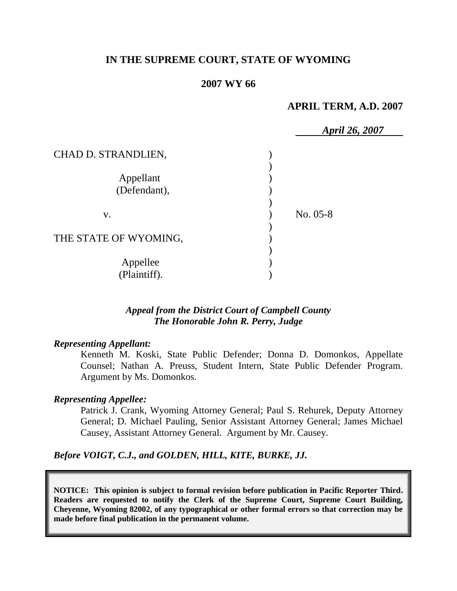## **IN THE SUPREME COURT, STATE OF WYOMING**

### **2007 WY 66**

### **APRIL TERM, A.D. 2007**

|                       | <b>April 26, 2007</b> |
|-----------------------|-----------------------|
| CHAD D. STRANDLIEN,   |                       |
|                       |                       |
| Appellant             |                       |
| (Defendant),          |                       |
|                       |                       |
| V.                    | $No. 05-8$            |
|                       |                       |
| THE STATE OF WYOMING, |                       |
|                       |                       |
| Appellee              |                       |
| (Plaintiff).          |                       |

## *Appeal from the District Court of Campbell County The Honorable John R. Perry, Judge*

### *Representing Appellant:*

Kenneth M. Koski, State Public Defender; Donna D. Domonkos, Appellate Counsel; Nathan A. Preuss, Student Intern, State Public Defender Program. Argument by Ms. Domonkos.

### *Representing Appellee:*

Patrick J. Crank, Wyoming Attorney General; Paul S. Rehurek, Deputy Attorney General; D. Michael Pauling, Senior Assistant Attorney General; James Michael Causey, Assistant Attorney General. Argument by Mr. Causey.

### *Before VOIGT, C.J., and GOLDEN, HILL, KITE, BURKE, JJ.*

**NOTICE: This opinion is subject to formal revision before publication in Pacific Reporter Third. Readers are requested to notify the Clerk of the Supreme Court, Supreme Court Building, Cheyenne, Wyoming 82002, of any typographical or other formal errors so that correction may be made before final publication in the permanent volume.**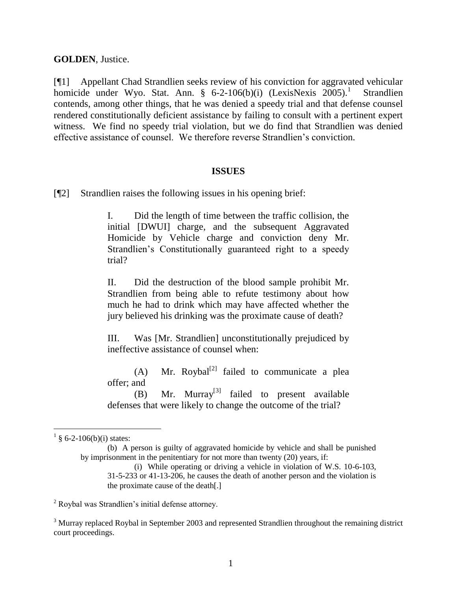### **GOLDEN**, Justice.

[¶1] Appellant Chad Strandlien seeks review of his conviction for aggravated vehicular homicide under Wyo. Stat. Ann. § 6-2-106(b)(i) (LexisNexis 2005).<sup>1</sup> Strandlien contends, among other things, that he was denied a speedy trial and that defense counsel rendered constitutionally deficient assistance by failing to consult with a pertinent expert witness. We find no speedy trial violation, but we do find that Strandlien was denied effective assistance of counsel. We therefore reverse Strandlien"s conviction.

### **ISSUES**

[¶2] Strandlien raises the following issues in his opening brief:

I. Did the length of time between the traffic collision, the initial [DWUI] charge, and the subsequent Aggravated Homicide by Vehicle charge and conviction deny Mr. Strandlien"s Constitutionally guaranteed right to a speedy trial?

II. Did the destruction of the blood sample prohibit Mr. Strandlien from being able to refute testimony about how much he had to drink which may have affected whether the jury believed his drinking was the proximate cause of death?

III. Was [Mr. Strandlien] unconstitutionally prejudiced by ineffective assistance of counsel when:

(A) Mr. Roybal<sup>[2]</sup> failed to communicate a plea offer; and

(B) Mr. Murray<sup>[3]</sup> failed to present available defenses that were likely to change the outcome of the trial?

 $\frac{1}{9}$  § 6-2-106(b)(i) states:

<sup>(</sup>b) A person is guilty of aggravated homicide by vehicle and shall be punished by imprisonment in the penitentiary for not more than twenty (20) years, if:

<sup>(</sup>i) While operating or driving a vehicle in violation of W.S. 10-6-103, 31-5-233 or 41-13-206, he causes the death of another person and the violation is the proximate cause of the death[.]

<sup>2</sup> Roybal was Strandlien"s initial defense attorney.

<sup>&</sup>lt;sup>3</sup> Murray replaced Roybal in September 2003 and represented Strandlien throughout the remaining district court proceedings.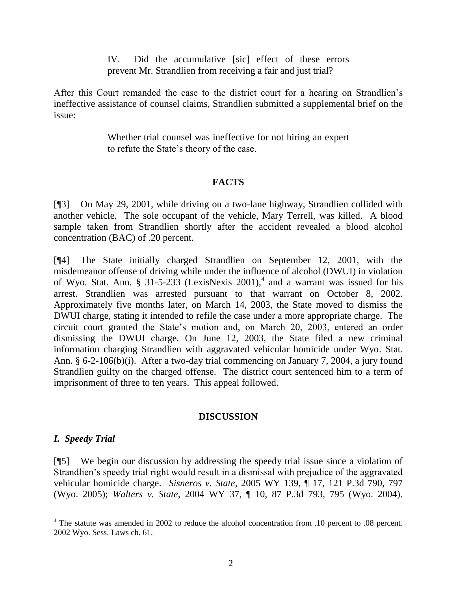IV. Did the accumulative [sic] effect of these errors prevent Mr. Strandlien from receiving a fair and just trial?

After this Court remanded the case to the district court for a hearing on Strandlien"s ineffective assistance of counsel claims, Strandlien submitted a supplemental brief on the issue:

> Whether trial counsel was ineffective for not hiring an expert to refute the State"s theory of the case.

# **FACTS**

[¶3] On May 29, 2001, while driving on a two-lane highway, Strandlien collided with another vehicle. The sole occupant of the vehicle, Mary Terrell, was killed. A blood sample taken from Strandlien shortly after the accident revealed a blood alcohol concentration (BAC) of .20 percent.

[¶4] The State initially charged Strandlien on September 12, 2001, with the misdemeanor offense of driving while under the influence of alcohol (DWUI) in violation of Wyo. Stat. Ann. § 31-5-233 (LexisNexis 2001),<sup>4</sup> and a warrant was issued for his arrest. Strandlien was arrested pursuant to that warrant on October 8, 2002. Approximately five months later, on March 14, 2003, the State moved to dismiss the DWUI charge, stating it intended to refile the case under a more appropriate charge. The circuit court granted the State"s motion and, on March 20, 2003, entered an order dismissing the DWUI charge. On June 12, 2003, the State filed a new criminal information charging Strandlien with aggravated vehicular homicide under Wyo. Stat. Ann. § 6-2-106(b)(i). After a two-day trial commencing on January 7, 2004, a jury found Strandlien guilty on the charged offense. The district court sentenced him to a term of imprisonment of three to ten years. This appeal followed.

# **DISCUSSION**

# *I. Speedy Trial*

l

[¶5] We begin our discussion by addressing the speedy trial issue since a violation of Strandlien"s speedy trial right would result in a dismissal with prejudice of the aggravated vehicular homicide charge. *Sisneros v. State*, 2005 WY 139, ¶ 17, 121 P.3d 790, 797 (Wyo. 2005); *Walters v. State*, 2004 WY 37, ¶ 10, 87 P.3d 793, 795 (Wyo. 2004).

<sup>&</sup>lt;sup>4</sup> The statute was amended in 2002 to reduce the alcohol concentration from .10 percent to .08 percent. 2002 Wyo. Sess. Laws ch. 61.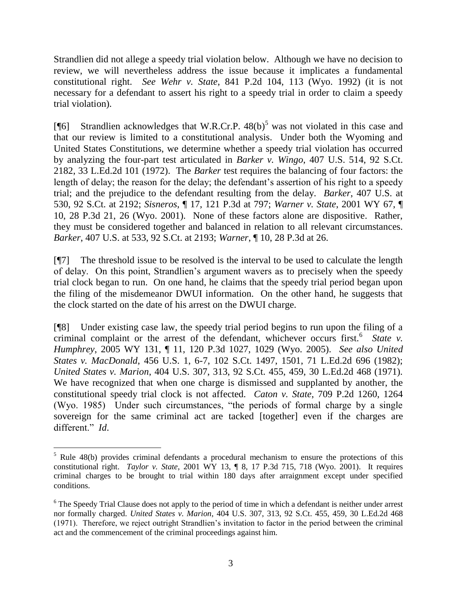Strandlien did not allege a speedy trial violation below. Although we have no decision to review, we will nevertheless address the issue because it implicates a fundamental constitutional right. *See Wehr v. State*, 841 P.2d 104, 113 (Wyo. 1992) (it is not necessary for a defendant to assert his right to a speedy trial in order to claim a speedy trial violation).

[ $[$ [6] Strandlien acknowledges that W.R.Cr.P. 48(b)<sup>5</sup> was not violated in this case and that our review is limited to a constitutional analysis. Under both the Wyoming and United States Constitutions, we determine whether a speedy trial violation has occurred by analyzing the four-part test articulated in *Barker v. Wingo*, 407 U.S. 514, 92 S.Ct. 2182, 33 L.Ed.2d 101 (1972). The *Barker* test requires the balancing of four factors: the length of delay; the reason for the delay; the defendant's assertion of his right to a speedy trial; and the prejudice to the defendant resulting from the delay. *Barker*, 407 U.S. at 530, 92 S.Ct. at 2192; *Sisneros*, ¶ 17, 121 P.3d at 797; *Warner v. State*, 2001 WY 67, ¶ 10, 28 P.3d 21, 26 (Wyo. 2001). None of these factors alone are dispositive. Rather, they must be considered together and balanced in relation to all relevant circumstances. *Barker*, 407 U.S. at 533, 92 S.Ct. at 2193; *Warner*, ¶ 10, 28 P.3d at 26.

[¶7] The threshold issue to be resolved is the interval to be used to calculate the length of delay. On this point, Strandlien"s argument wavers as to precisely when the speedy trial clock began to run. On one hand, he claims that the speedy trial period began upon the filing of the misdemeanor DWUI information. On the other hand, he suggests that the clock started on the date of his arrest on the DWUI charge.

[¶8] Under existing case law, the speedy trial period begins to run upon the filing of a criminal complaint or the arrest of the defendant, whichever occurs first.<sup>6</sup> State v. *Humphrey*, 2005 WY 131, ¶ 11, 120 P.3d 1027, 1029 (Wyo. 2005). *See also United States v. MacDonald*, 456 U.S. 1, 6-7, 102 S.Ct. 1497, 1501, 71 L.Ed.2d 696 (1982); *United States v. Marion*, 404 U.S. 307, 313, 92 S.Ct. 455, 459, 30 L.Ed.2d 468 (1971). We have recognized that when one charge is dismissed and supplanted by another, the constitutional speedy trial clock is not affected. *Caton v. State*, 709 P.2d 1260, 1264 (Wyo. 1985) Under such circumstances, "the periods of formal charge by a single sovereign for the same criminal act are tacked [together] even if the charges are different." *Id*.

 $\overline{a}$ 

<sup>&</sup>lt;sup>5</sup> Rule 48(b) provides criminal defendants a procedural mechanism to ensure the protections of this constitutional right. *Taylor v. State*, 2001 WY 13, ¶ 8, 17 P.3d 715, 718 (Wyo. 2001). It requires criminal charges to be brought to trial within 180 days after arraignment except under specified conditions.

<sup>&</sup>lt;sup>6</sup> The Speedy Trial Clause does not apply to the period of time in which a defendant is neither under arrest nor formally charged. *United States v. Marion*, 404 U.S. 307, 313, 92 S.Ct. 455, 459, 30 L.Ed.2d 468 (1971). Therefore, we reject outright Strandlien"s invitation to factor in the period between the criminal act and the commencement of the criminal proceedings against him.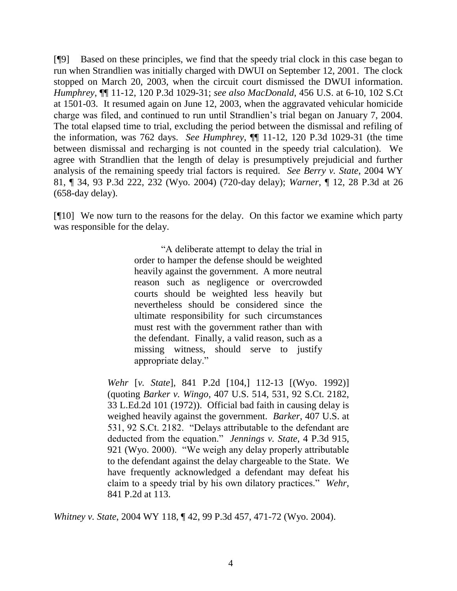[¶9] Based on these principles, we find that the speedy trial clock in this case began to run when Strandlien was initially charged with DWUI on September 12, 2001. The clock stopped on March 20, 2003, when the circuit court dismissed the DWUI information. *Humphrey*, ¶¶ 11-12, 120 P.3d 1029-31; *see also MacDonald*, 456 U.S. at 6-10, 102 S.Ct at 1501-03. It resumed again on June 12, 2003, when the aggravated vehicular homicide charge was filed, and continued to run until Strandlien"s trial began on January 7, 2004. The total elapsed time to trial, excluding the period between the dismissal and refiling of the information, was 762 days. *See Humphrey*, ¶¶ 11-12, 120 P.3d 1029-31 (the time between dismissal and recharging is not counted in the speedy trial calculation). We agree with Strandlien that the length of delay is presumptively prejudicial and further analysis of the remaining speedy trial factors is required. *See Berry v. State*, 2004 WY 81, ¶ 34, 93 P.3d 222, 232 (Wyo. 2004) (720-day delay); *Warner*, ¶ 12, 28 P.3d at 26 (658-day delay).

[¶10] We now turn to the reasons for the delay. On this factor we examine which party was responsible for the delay.

> "A deliberate attempt to delay the trial in order to hamper the defense should be weighted heavily against the government. A more neutral reason such as negligence or overcrowded courts should be weighted less heavily but nevertheless should be considered since the ultimate responsibility for such circumstances must rest with the government rather than with the defendant. Finally, a valid reason, such as a missing witness, should serve to justify appropriate delay."

*Wehr* [*v. State*], 841 P.2d [104,] 112-13 [(Wyo. 1992)] (quoting *Barker v. Wingo*, 407 U.S. 514, 531, 92 S.Ct. 2182, 33 L.Ed.2d 101 (1972)). Official bad faith in causing delay is weighed heavily against the government. *Barker*, 407 U.S. at 531, 92 S.Ct. 2182. "Delays attributable to the defendant are deducted from the equation." *Jennings v. State*, 4 P.3d 915, 921 (Wyo. 2000). "We weigh any delay properly attributable to the defendant against the delay chargeable to the State. We have frequently acknowledged a defendant may defeat his claim to a speedy trial by his own dilatory practices." *Wehr*, 841 P.2d at 113.

*Whitney v. State*, 2004 WY 118, ¶ 42, 99 P.3d 457, 471-72 (Wyo. 2004).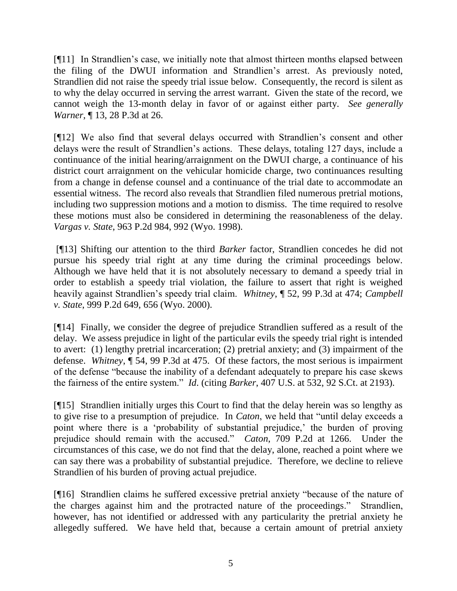[¶11] In Strandlien"s case, we initially note that almost thirteen months elapsed between the filing of the DWUI information and Strandlien"s arrest. As previously noted, Strandlien did not raise the speedy trial issue below. Consequently, the record is silent as to why the delay occurred in serving the arrest warrant. Given the state of the record, we cannot weigh the 13-month delay in favor of or against either party. *See generally Warner*, ¶ 13, 28 P.3d at 26.

[¶12] We also find that several delays occurred with Strandlien"s consent and other delays were the result of Strandlien"s actions. These delays, totaling 127 days, include a continuance of the initial hearing/arraignment on the DWUI charge, a continuance of his district court arraignment on the vehicular homicide charge, two continuances resulting from a change in defense counsel and a continuance of the trial date to accommodate an essential witness. The record also reveals that Strandlien filed numerous pretrial motions, including two suppression motions and a motion to dismiss. The time required to resolve these motions must also be considered in determining the reasonableness of the delay. *Vargas v. State*, 963 P.2d 984, 992 (Wyo. 1998).

[¶13] Shifting our attention to the third *Barker* factor, Strandlien concedes he did not pursue his speedy trial right at any time during the criminal proceedings below. Although we have held that it is not absolutely necessary to demand a speedy trial in order to establish a speedy trial violation, the failure to assert that right is weighed heavily against Strandlien"s speedy trial claim. *Whitney*, ¶ 52, 99 P.3d at 474; *Campbell v. State*, 999 P.2d 649, 656 (Wyo. 2000).

[¶14] Finally, we consider the degree of prejudice Strandlien suffered as a result of the delay. We assess prejudice in light of the particular evils the speedy trial right is intended to avert: (1) lengthy pretrial incarceration; (2) pretrial anxiety; and (3) impairment of the defense. *Whitney*, ¶ 54, 99 P.3d at 475. Of these factors, the most serious is impairment of the defense "because the inability of a defendant adequately to prepare his case skews the fairness of the entire system." *Id*. (citing *Barker*, 407 U.S. at 532, 92 S.Ct. at 2193).

[¶15] Strandlien initially urges this Court to find that the delay herein was so lengthy as to give rise to a presumption of prejudice. In *Caton*, we held that "until delay exceeds a point where there is a 'probability of substantial prejudice,' the burden of proving prejudice should remain with the accused." *Caton*, 709 P.2d at 1266. Under the circumstances of this case, we do not find that the delay, alone, reached a point where we can say there was a probability of substantial prejudice. Therefore, we decline to relieve Strandlien of his burden of proving actual prejudice.

[¶16] Strandlien claims he suffered excessive pretrial anxiety "because of the nature of the charges against him and the protracted nature of the proceedings." Strandlien, however, has not identified or addressed with any particularity the pretrial anxiety he allegedly suffered. We have held that, because a certain amount of pretrial anxiety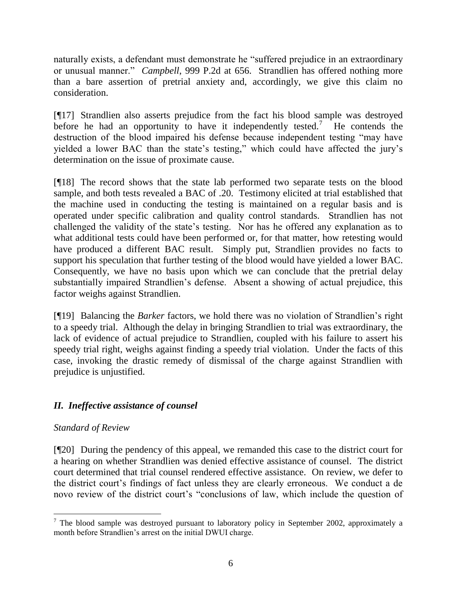naturally exists, a defendant must demonstrate he "suffered prejudice in an extraordinary or unusual manner." *Campbell*, 999 P.2d at 656. Strandlien has offered nothing more than a bare assertion of pretrial anxiety and, accordingly, we give this claim no consideration.

[¶17] Strandlien also asserts prejudice from the fact his blood sample was destroyed before he had an opportunity to have it independently tested.<sup>7</sup> He contends the destruction of the blood impaired his defense because independent testing "may have yielded a lower BAC than the state's testing," which could have affected the jury's determination on the issue of proximate cause.

[¶18] The record shows that the state lab performed two separate tests on the blood sample, and both tests revealed a BAC of .20. Testimony elicited at trial established that the machine used in conducting the testing is maintained on a regular basis and is operated under specific calibration and quality control standards. Strandlien has not challenged the validity of the state"s testing. Nor has he offered any explanation as to what additional tests could have been performed or, for that matter, how retesting would have produced a different BAC result. Simply put, Strandlien provides no facts to support his speculation that further testing of the blood would have yielded a lower BAC. Consequently, we have no basis upon which we can conclude that the pretrial delay substantially impaired Strandlien's defense. Absent a showing of actual prejudice, this factor weighs against Strandlien.

[¶19] Balancing the *Barker* factors, we hold there was no violation of Strandlien"s right to a speedy trial. Although the delay in bringing Strandlien to trial was extraordinary, the lack of evidence of actual prejudice to Strandlien, coupled with his failure to assert his speedy trial right, weighs against finding a speedy trial violation. Under the facts of this case, invoking the drastic remedy of dismissal of the charge against Strandlien with prejudice is unjustified.

# *II. Ineffective assistance of counsel*

# *Standard of Review*

l

[¶20] During the pendency of this appeal, we remanded this case to the district court for a hearing on whether Strandlien was denied effective assistance of counsel. The district court determined that trial counsel rendered effective assistance. On review, we defer to the district court"s findings of fact unless they are clearly erroneous. We conduct a de novo review of the district court's "conclusions of law, which include the question of

 $<sup>7</sup>$  The blood sample was destroyed pursuant to laboratory policy in September 2002, approximately a</sup> month before Strandlien"s arrest on the initial DWUI charge.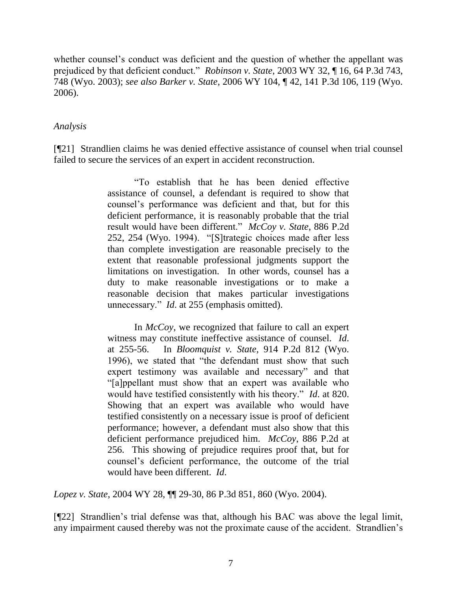whether counsel's conduct was deficient and the question of whether the appellant was prejudiced by that deficient conduct." *Robinson v. State*, 2003 WY 32, ¶ 16, 64 P.3d 743, 748 (Wyo. 2003); *see also Barker v. State*, 2006 WY 104, ¶ 42, 141 P.3d 106, 119 (Wyo. 2006).

## *Analysis*

[¶21] Strandlien claims he was denied effective assistance of counsel when trial counsel failed to secure the services of an expert in accident reconstruction.

> "To establish that he has been denied effective assistance of counsel, a defendant is required to show that counsel"s performance was deficient and that, but for this deficient performance, it is reasonably probable that the trial result would have been different." *McCoy v. State*, 886 P.2d 252, 254 (Wyo. 1994). "[S]trategic choices made after less than complete investigation are reasonable precisely to the extent that reasonable professional judgments support the limitations on investigation. In other words, counsel has a duty to make reasonable investigations or to make a reasonable decision that makes particular investigations unnecessary." *Id*. at 255 (emphasis omitted).

> In *McCoy*, we recognized that failure to call an expert witness may constitute ineffective assistance of counsel. *Id*. at 255-56. In *Bloomquist v. State*, 914 P.2d 812 (Wyo. 1996), we stated that "the defendant must show that such expert testimony was available and necessary" and that "[a]ppellant must show that an expert was available who would have testified consistently with his theory." *Id*. at 820. Showing that an expert was available who would have testified consistently on a necessary issue is proof of deficient performance; however, a defendant must also show that this deficient performance prejudiced him. *McCoy*, 886 P.2d at 256. This showing of prejudice requires proof that, but for counsel"s deficient performance, the outcome of the trial would have been different. *Id*.

*Lopez v. State*, 2004 WY 28, ¶¶ 29-30, 86 P.3d 851, 860 (Wyo. 2004).

[¶22] Strandlien"s trial defense was that, although his BAC was above the legal limit, any impairment caused thereby was not the proximate cause of the accident. Strandlien"s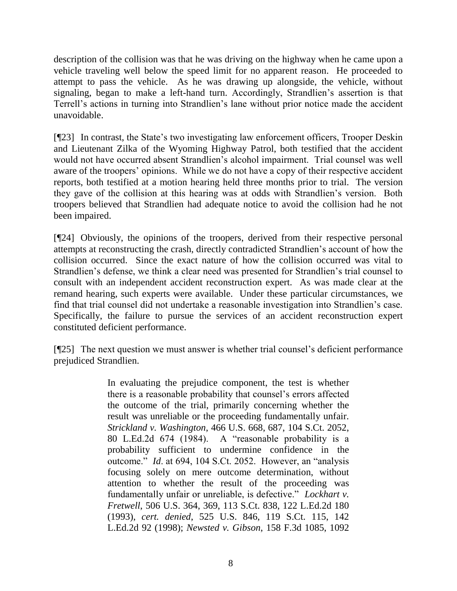description of the collision was that he was driving on the highway when he came upon a vehicle traveling well below the speed limit for no apparent reason. He proceeded to attempt to pass the vehicle. As he was drawing up alongside, the vehicle, without signaling, began to make a left-hand turn. Accordingly, Strandlien"s assertion is that Terrell"s actions in turning into Strandlien"s lane without prior notice made the accident unavoidable.

[¶23] In contrast, the State's two investigating law enforcement officers, Trooper Deskin and Lieutenant Zilka of the Wyoming Highway Patrol, both testified that the accident would not have occurred absent Strandlien"s alcohol impairment. Trial counsel was well aware of the troopers' opinions. While we do not have a copy of their respective accident reports, both testified at a motion hearing held three months prior to trial. The version they gave of the collision at this hearing was at odds with Strandlien"s version. Both troopers believed that Strandlien had adequate notice to avoid the collision had he not been impaired.

[¶24] Obviously, the opinions of the troopers, derived from their respective personal attempts at reconstructing the crash, directly contradicted Strandlien"s account of how the collision occurred. Since the exact nature of how the collision occurred was vital to Strandlien's defense, we think a clear need was presented for Strandlien's trial counsel to consult with an independent accident reconstruction expert. As was made clear at the remand hearing, such experts were available. Under these particular circumstances, we find that trial counsel did not undertake a reasonable investigation into Strandlien"s case. Specifically, the failure to pursue the services of an accident reconstruction expert constituted deficient performance.

[¶25] The next question we must answer is whether trial counsel"s deficient performance prejudiced Strandlien.

> In evaluating the prejudice component, the test is whether there is a reasonable probability that counsel"s errors affected the outcome of the trial, primarily concerning whether the result was unreliable or the proceeding fundamentally unfair. *Strickland v. Washington*, 466 U.S. 668, 687, 104 S.Ct. 2052, 80 L.Ed.2d 674 (1984). A "reasonable probability is a probability sufficient to undermine confidence in the outcome." *Id*. at 694, 104 S.Ct. 2052. However, an "analysis focusing solely on mere outcome determination, without attention to whether the result of the proceeding was fundamentally unfair or unreliable, is defective." *Lockhart v. Fretwell*, 506 U.S. 364, 369, 113 S.Ct. 838, 122 L.Ed.2d 180 (1993), *cert. denied*, 525 U.S. 846, 119 S.Ct. 115, 142 L.Ed.2d 92 (1998); *Newsted v. Gibson*, 158 F.3d 1085, 1092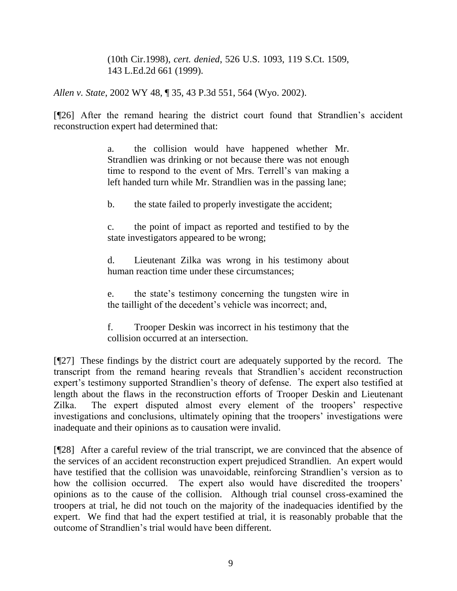(10th Cir.1998), *cert. denied*, 526 U.S. 1093, 119 S.Ct. 1509, 143 L.Ed.2d 661 (1999).

*Allen v. State*, 2002 WY 48, ¶ 35, 43 P.3d 551, 564 (Wyo. 2002).

[¶26] After the remand hearing the district court found that Strandlien"s accident reconstruction expert had determined that:

> a. the collision would have happened whether Mr. Strandlien was drinking or not because there was not enough time to respond to the event of Mrs. Terrell"s van making a left handed turn while Mr. Strandlien was in the passing lane;

b. the state failed to properly investigate the accident;

c. the point of impact as reported and testified to by the state investigators appeared to be wrong;

d. Lieutenant Zilka was wrong in his testimony about human reaction time under these circumstances;

e. the state"s testimony concerning the tungsten wire in the taillight of the decedent"s vehicle was incorrect; and,

f. Trooper Deskin was incorrect in his testimony that the collision occurred at an intersection.

[¶27] These findings by the district court are adequately supported by the record. The transcript from the remand hearing reveals that Strandlien"s accident reconstruction expert's testimony supported Strandlien's theory of defense. The expert also testified at length about the flaws in the reconstruction efforts of Trooper Deskin and Lieutenant Zilka. The expert disputed almost every element of the troopers' respective investigations and conclusions, ultimately opining that the troopers' investigations were inadequate and their opinions as to causation were invalid.

[¶28] After a careful review of the trial transcript, we are convinced that the absence of the services of an accident reconstruction expert prejudiced Strandlien. An expert would have testified that the collision was unavoidable, reinforcing Strandlien"s version as to how the collision occurred. The expert also would have discredited the troopers' opinions as to the cause of the collision. Although trial counsel cross-examined the troopers at trial, he did not touch on the majority of the inadequacies identified by the expert. We find that had the expert testified at trial, it is reasonably probable that the outcome of Strandlien"s trial would have been different.